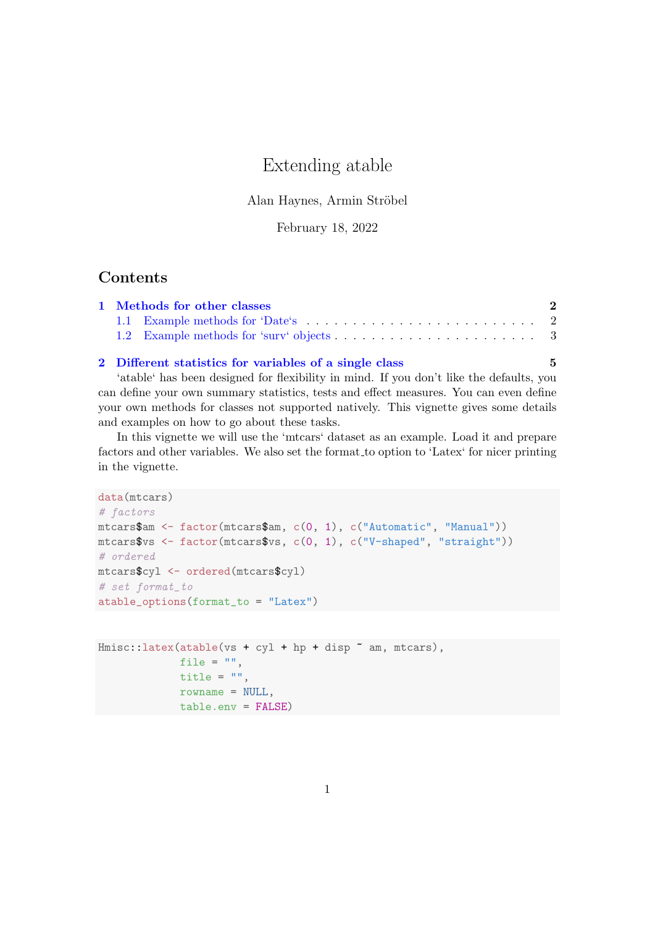# Extending atable

### Alan Haynes, Armin Ströbel

February 18, 2022

### Contents

| 1 Methods for other classes |  |  |  |  |
|-----------------------------|--|--|--|--|
|                             |  |  |  |  |
|                             |  |  |  |  |

#### [2 Different statistics for variables of a single class](#page-4-0) 5

'atable' has been designed for flexibility in mind. If you don't like the defaults, you can define your own summary statistics, tests and effect measures. You can even define your own methods for classes not supported natively. This vignette gives some details and examples on how to go about these tasks.

In this vignette we will use the 'mtcars' dataset as an example. Load it and prepare factors and other variables. We also set the format to option to 'Latex' for nicer printing in the vignette.

```
data(mtcars)
# factors
mtcars$am <- factor(mtcars$am, c(0, 1), c("Automatic", "Manual"))
mtcars$vs <- factor(mtcars$vs, c(0, 1), c("V-shaped", "straight"))
# ordered
mtcars$cyl <- ordered(mtcars$cyl)
# set format_to
atable_options(format_to = "Latex")
```

```
Hmisc::latex(atable(vs + cyl + hp + disp * am, mtcars),file = ",
             title = ",
             rowname = NULL,
             table.env = FALSE)
```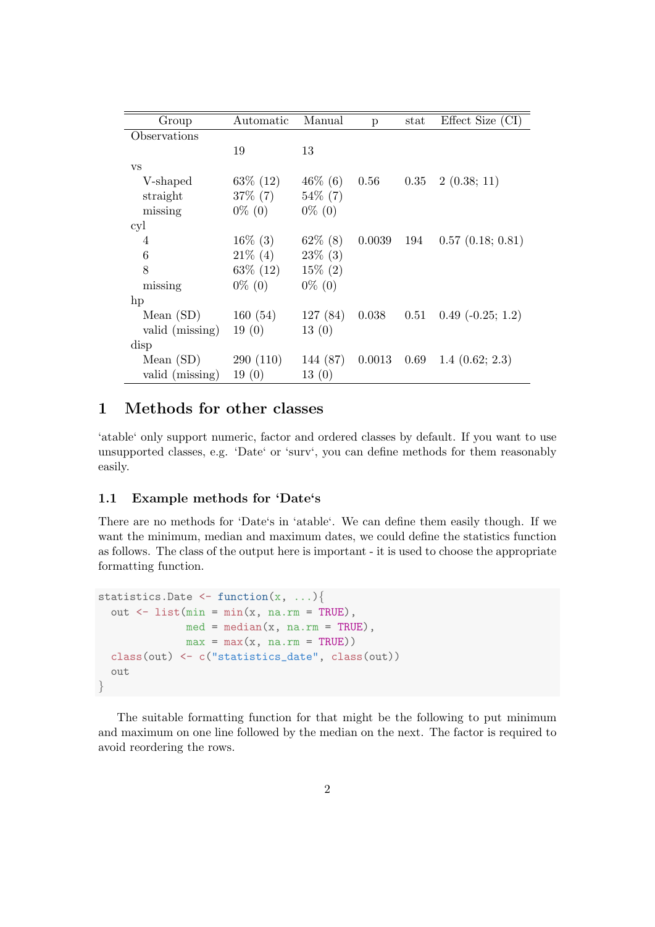| Group           | Automatic   | Manual     | p      | $_{\rm stat}$ | Effect Size (CI)        |
|-----------------|-------------|------------|--------|---------------|-------------------------|
| Observations    |             |            |        |               |                         |
|                 | 19          | 13         |        |               |                         |
| <b>VS</b>       |             |            |        |               |                         |
| V-shaped        | $63\%$ (12) | $46\%$ (6) | 0.56   | 0.35          | 2(0.38; 11)             |
| straight        | $37\%$ (7)  | $54\%$ (7) |        |               |                         |
| missing         | $0\%$ (0)   | $0\%$ (0)  |        |               |                         |
| cyl             |             |            |        |               |                         |
| 4               | $16\%$ (3)  | $62\%$ (8) | 0.0039 | 194           | 0.57(0.18; 0.81)        |
| 6               | $21\%$ (4)  | $23\%$ (3) |        |               |                         |
| 8               | $63\%$ (12) | $15\% (2)$ |        |               |                         |
| missing         | $0\%$ (0)   | $0\%$ (0)  |        |               |                         |
| hp              |             |            |        |               |                         |
| Mean $(SD)$     | 160(54)     | 127(84)    | 0.038  | 0.51          | $0.49$ ( $-0.25$ ; 1.2) |
| valid (missing) | 19(0)       | 13(0)      |        |               |                         |
| disp            |             |            |        |               |                         |
| Mean $(SD)$     | 290(110)    | 144 (87)   | 0.0013 | 0.69          | 1.4(0.62; 2.3)          |
| valid (missing) | 19(0)       | 13(0)      |        |               |                         |

## <span id="page-1-0"></span>1 Methods for other classes

'atable' only support numeric, factor and ordered classes by default. If you want to use unsupported classes, e.g. 'Date' or 'surv', you can define methods for them reasonably easily.

### <span id="page-1-1"></span>1.1 Example methods for 'Date's

There are no methods for 'Date's in 'atable'. We can define them easily though. If we want the minimum, median and maximum dates, we could define the statistics function as follows. The class of the output here is important - it is used to choose the appropriate formatting function.

```
statistics.Date \leftarrow function(x, \ldots){
  out \leq list(min = min(x, na.rm = TRUE),
               med = median(x, na.rm = TRUE),max = max(x, na.rm = TRUE))class(out) <- c("statistics_date", class(out))
  out
}
```
The suitable formatting function for that might be the following to put minimum and maximum on one line followed by the median on the next. The factor is required to avoid reordering the rows.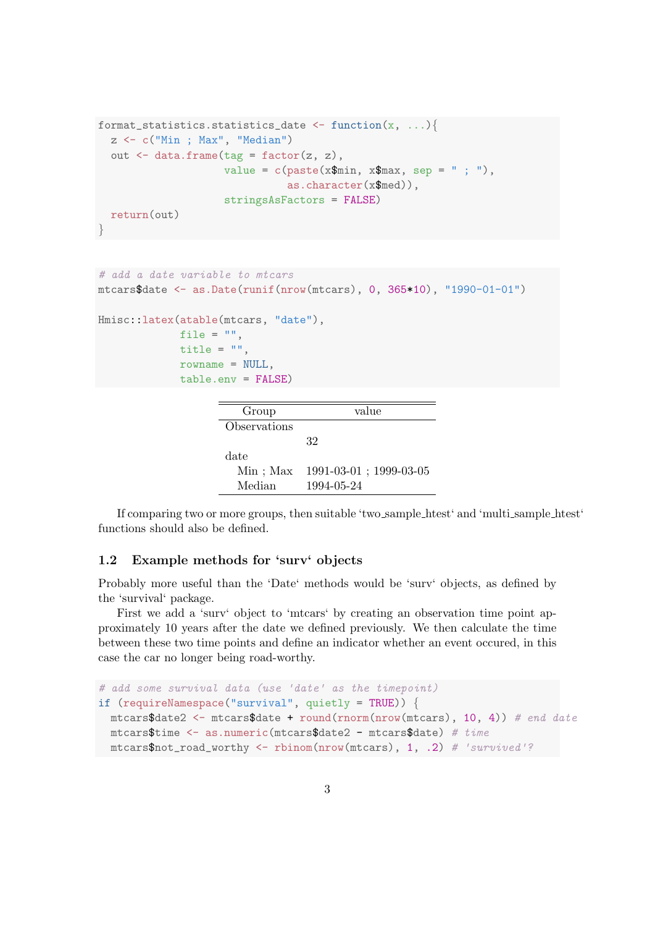```
format_statistics.statistics_date <- function(x, ...){
  z <- c("Min ; Max", "Median")
  out \leq data.frame(tag = factor(z, z),
                    value = c(paste(x$min, x$max, sep = "; "),
                              as.character(x$med)),
                    stringsAsFactors = FALSE)
  return(out)
}
```

```
# add a date variable to mtcars
mtcars$date <- as.Date(runif(nrow(mtcars), 0, 365*10), "1990-01-01")
Hmisc::latex(atable(mtcars, "date"),
             file = ",
             title = ",
             rowname = NULL,
             table.env = FALSE)
```

| Group        | value                  |  |  |
|--------------|------------------------|--|--|
| Observations |                        |  |  |
|              | 32                     |  |  |
| date         |                        |  |  |
| $Min$ ; Max  | 1991-03-01; 1999-03-05 |  |  |
| Median       | 1994-05-24             |  |  |

If comparing two or more groups, then suitable 'two sample htest' and 'multi sample htest' functions should also be defined.

### <span id="page-2-0"></span>1.2 Example methods for 'surv' objects

Probably more useful than the 'Date' methods would be 'surv' objects, as defined by the 'survival' package.

First we add a 'surv' object to 'mtcars' by creating an observation time point approximately 10 years after the date we defined previously. We then calculate the time between these two time points and define an indicator whether an event occured, in this case the car no longer being road-worthy.

```
# add some survival data (use 'date' as the timepoint)
if (requireNamespace("survival", quietly = TRUE)) {
 mtcars$date2 <- mtcars$date + round(rnorm(nrow(mtcars), 10, 4)) # end date
 mtcars$time <- as.numeric(mtcars$date2 - mtcars$date) # time
 mtcars$not_road_worthy <- rbinom(nrow(mtcars), 1, .2) # 'survived'?
```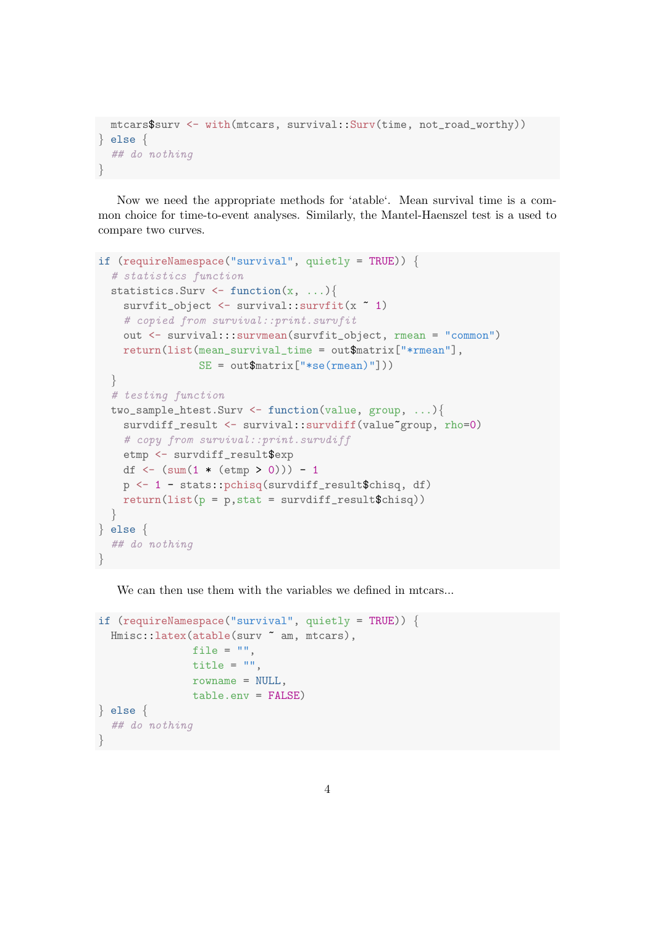```
mtcars$surv <- with(mtcars, survival::Surv(time, not_road_worthy))
} else {
 ## do nothing
}
```
Now we need the appropriate methods for 'atable'. Mean survival time is a common choice for time-to-event analyses. Similarly, the Mantel-Haenszel test is a used to compare two curves.

```
if (requireNamespace("survival", quietly = TRUE)) {
  # statistics function
  statistics. Surv \leftarrow function(x, \ldots)survfit_object <- survival::survfit(x " 1)# copied from survival::print.survfit
    out <- survival:::survmean(survfit_object, rmean = "common")
    return(list(mean_survival_time = out$matrix["*rmean"],
                SE = out$matrix["*se(rmean)"]))
  }
  # testing function
  two_sample_htest.Surv <- function(value, group, ...){
    survdiff_result <- survival::survdiff(value~group, rho=0)
    # copy from survival::print.survdiff
   etmp <- survdiff_result$exp
   df <- (sum(1 * (etmp > 0))) - 1p <- 1 - stats::pchisq(survdiff_result$chisq, df)
    return(list(p = p, stat = survivaliff\_result$chisq))}
\} else \{## do nothing
}
```
We can then use them with the variables we defined in mtcars...

```
if (requireNamespace("survival", quietly = TRUE)) {
  Hmisc::latex(atable(surv \tilde{ } am, mtcars),
               file = ",
               title = ".
               rowname = NULL,
                table.env = FALSE)
} else {
  ## do nothing
}
```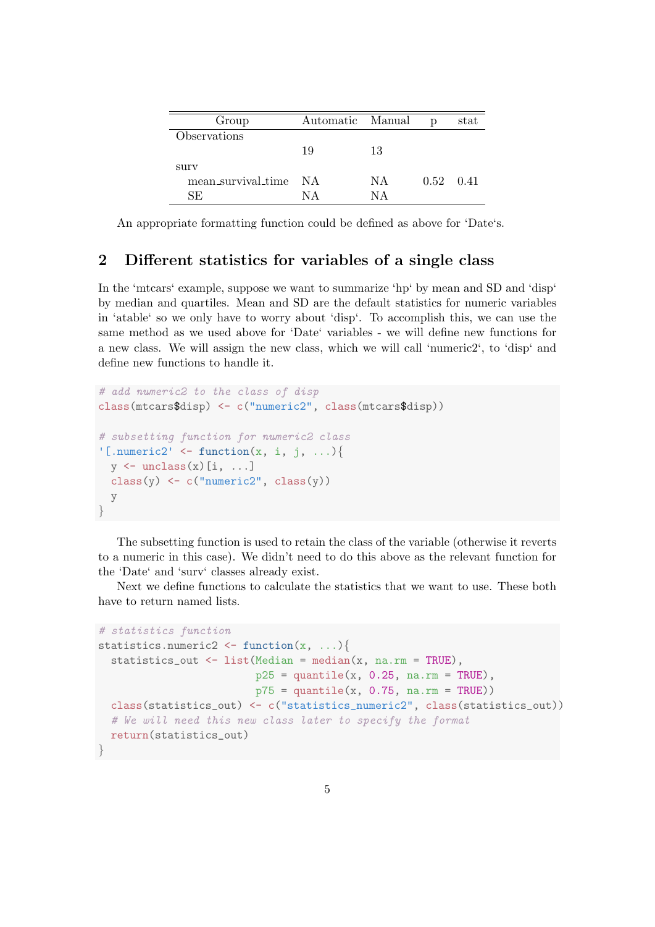| Group              | Automatic Manual |     | D                 | stat |
|--------------------|------------------|-----|-------------------|------|
| Observations       |                  |     |                   |      |
|                    | 19               | 13  |                   |      |
| surv               |                  |     |                   |      |
| mean_survival_time | NA               | N A | $0.52 \quad 0.41$ |      |
| SE.                | NА               | NΑ  |                   |      |

An appropriate formatting function could be defined as above for 'Date's.

## <span id="page-4-0"></span>2 Different statistics for variables of a single class

In the 'mtcars' example, suppose we want to summarize 'hp' by mean and SD and 'disp' by median and quartiles. Mean and SD are the default statistics for numeric variables in 'atable' so we only have to worry about 'disp'. To accomplish this, we can use the same method as we used above for 'Date' variables - we will define new functions for a new class. We will assign the new class, which we will call 'numeric2', to 'disp' and define new functions to handle it.

```
# add numeric2 to the class of disp
class(mtcars$disp) <- c("numeric2", class(mtcars$disp))
# subsetting function for numeric2 class
'[.numeric2' \leq function(x, i, j, ...){
  y \leftarrow unclass(x)[i, ...]
  class(y) \leftarrow c("numeric2", class(y))
  y
}
```
The subsetting function is used to retain the class of the variable (otherwise it reverts to a numeric in this case). We didn't need to do this above as the relevant function for the 'Date' and 'surv' classes already exist.

Next we define functions to calculate the statistics that we want to use. These both have to return named lists.

```
# statistics function
statistics.numeric2 <- function(x, \ldots){
  statistics_out <- list(Median = median(x, na.rm = TRUE),
                         p25 =quantile(x, 0.25, na.rm = TRUE),
                         p75 =quantile(x, 0.75, na.rm = TRUE))
  class(statistics_out) <- c("statistics_numeric2", class(statistics_out))
  # We will need this new class later to specify the format
 return(statistics_out)
}
```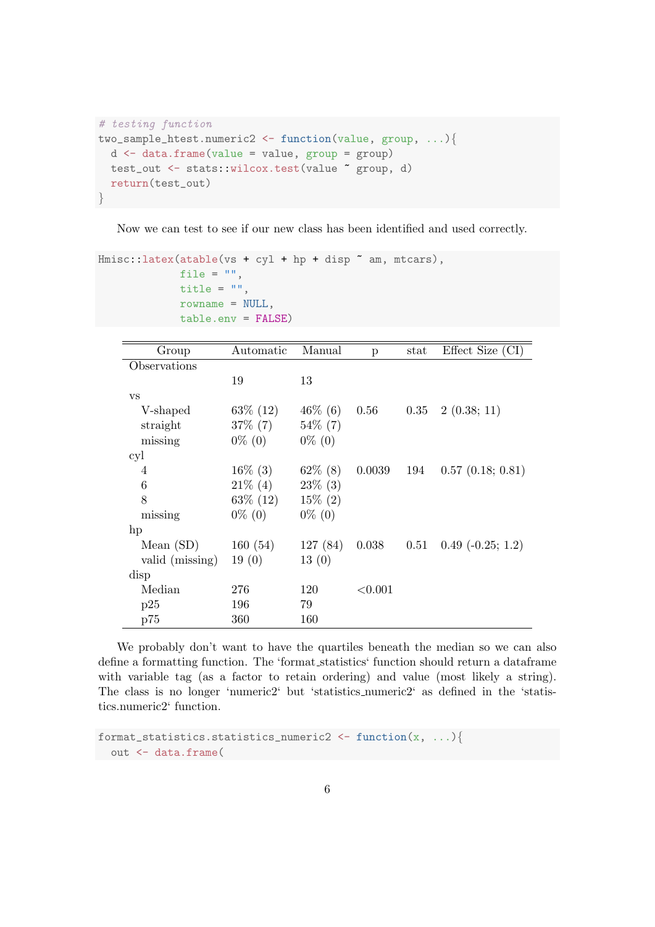```
# testing function
two_sample_htest.numeric2 <- function(value, group, ...){
 d \leftarrow data-frame(value = value, group = group)test_out <- stats::wilcox.test(value ~ group, d)
 return(test_out)
}
```
Now we can test to see if our new class has been identified and used correctly.

```
Hmisc::latex(atable(vs + cyl + hp + disp * am, mtcars),file = ",
            title = ",
            rowname = NULL,
             table.env = FALSE)
```

| Group           | Automatic   | Manual     | p       | stat | Effect Size (CI)   |
|-----------------|-------------|------------|---------|------|--------------------|
| Observations    |             |            |         |      |                    |
|                 | 19          | 13         |         |      |                    |
| <b>VS</b>       |             |            |         |      |                    |
| V-shaped        | $63\%$ (12) | $46\%$ (6) | 0.56    | 0.35 | 2(0.38; 11)        |
| straight        | $37\%$ (7)  | $54\%$ (7) |         |      |                    |
| missing         | $0\%$ (0)   | $0\%$ (0)  |         |      |                    |
| cyl             |             |            |         |      |                    |
| 4               | $16\%$ (3)  | $62\%$ (8) | 0.0039  | 194  | 0.57(0.18; 0.81)   |
| 6               | $21\%$ (4)  | $23\%$ (3) |         |      |                    |
| 8               | $63\%$ (12) | $15\% (2)$ |         |      |                    |
| missing         | $0\%$ (0)   | $0\%$ (0)  |         |      |                    |
| hp              |             |            |         |      |                    |
| Mean $(SD)$     | 160(54)     | 127(84)    | 0.038   | 0.51 | $0.49(-0.25; 1.2)$ |
| valid (missing) | 19(0)       | 13(0)      |         |      |                    |
| disp            |             |            |         |      |                    |
| Median          | 276         | 120        | < 0.001 |      |                    |
| p25             | 196         | 79         |         |      |                    |
| p75             | 360         | 160        |         |      |                    |

We probably don't want to have the quartiles beneath the median so we can also define a formatting function. The 'format statistics' function should return a dataframe with variable tag (as a factor to retain ordering) and value (most likely a string). The class is no longer 'numeric2' but 'statistics numeric2' as defined in the 'statistics.numeric2' function.

```
format_statistics.statistics_numeric2 <- function(x, ...){
out <- data.frame(
```